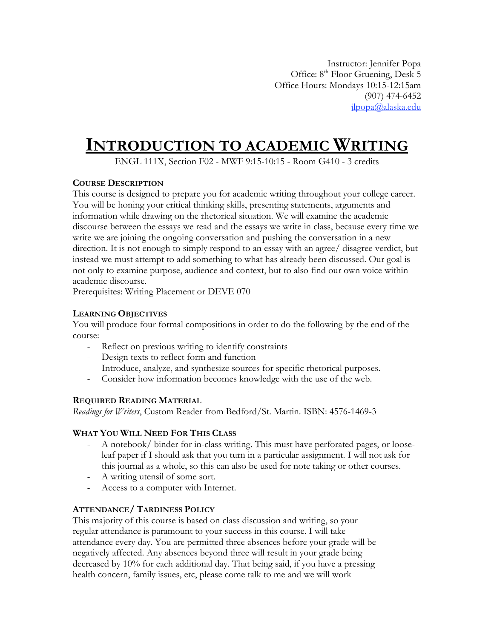Instructor: Jennifer Popa Office: 8<sup>th</sup> Floor Gruening, Desk 5 Office Hours: Mondays 10:15-12:15am (907) 474-6452 jlpopa@alaska.edu

# **INTRODUCTION TO ACADEMIC WRITING**

ENGL 111X, Section F02 - MWF 9:15-10:15 - Room G410 - 3 credits

# **COURSE DESCRIPTION**

This course is designed to prepare you for academic writing throughout your college career. You will be honing your critical thinking skills, presenting statements, arguments and information while drawing on the rhetorical situation. We will examine the academic discourse between the essays we read and the essays we write in class, because every time we write we are joining the ongoing conversation and pushing the conversation in a new direction. It is not enough to simply respond to an essay with an agree/ disagree verdict, but instead we must attempt to add something to what has already been discussed. Our goal is not only to examine purpose, audience and context, but to also find our own voice within academic discourse.

Prerequisites: Writing Placement or DEVE 070

# **LEARNING OBJECTIVES**

You will produce four formal compositions in order to do the following by the end of the course:

- Reflect on previous writing to identify constraints
- Design texts to reflect form and function
- Introduce, analyze, and synthesize sources for specific rhetorical purposes.
- Consider how information becomes knowledge with the use of the web.

# **REQUIRED READING MATERIAL**

*Readings for Writers*, Custom Reader from Bedford/St. Martin. ISBN: 4576-1469-3

# **WHAT YOU WILL NEED FOR THIS CLASS**

- A notebook/ binder for in-class writing. This must have perforated pages, or looseleaf paper if I should ask that you turn in a particular assignment. I will not ask for this journal as a whole, so this can also be used for note taking or other courses.
- A writing utensil of some sort.
- Access to a computer with Internet.

# **ATTENDANCE/ TARDINESS POLICY**

This majority of this course is based on class discussion and writing, so your regular attendance is paramount to your success in this course. I will take attendance every day. You are permitted three absences before your grade will be negatively affected. Any absences beyond three will result in your grade being decreased by 10% for each additional day. That being said, if you have a pressing health concern, family issues, etc, please come talk to me and we will work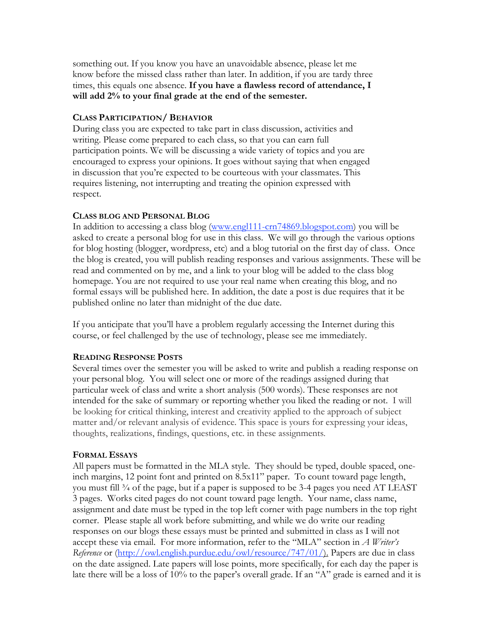something out. If you know you have an unavoidable absence, please let me know before the missed class rather than later. In addition, if you are tardy three times, this equals one absence. **If you have a flawless record of attendance, I will add 2% to your final grade at the end of the semester.**

## **CLASS PARTICIPATION/ BEHAVIOR**

During class you are expected to take part in class discussion, activities and writing. Please come prepared to each class, so that you can earn full participation points. We will be discussing a wide variety of topics and you are encouraged to express your opinions. It goes without saying that when engaged in discussion that you're expected to be courteous with your classmates. This requires listening, not interrupting and treating the opinion expressed with respect.

# **CLASS BLOG AND PERSONAL BLOG**

In addition to accessing a class blog (www.engl111-crn74869.blogspot.com) you will be asked to create a personal blog for use in this class. We will go through the various options for blog hosting (blogger, wordpress, etc) and a blog tutorial on the first day of class. Once the blog is created, you will publish reading responses and various assignments. These will be read and commented on by me, and a link to your blog will be added to the class blog homepage. You are not required to use your real name when creating this blog, and no formal essays will be published here. In addition, the date a post is due requires that it be published online no later than midnight of the due date.

If you anticipate that you'll have a problem regularly accessing the Internet during this course, or feel challenged by the use of technology, please see me immediately.

# **READING RESPONSE POSTS**

Several times over the semester you will be asked to write and publish a reading response on your personal blog. You will select one or more of the readings assigned during that particular week of class and write a short analysis (500 words). These responses are not intended for the sake of summary or reporting whether you liked the reading or not. I will be looking for critical thinking, interest and creativity applied to the approach of subject matter and/or relevant analysis of evidence. This space is yours for expressing your ideas, thoughts, realizations, findings, questions, etc. in these assignments.

#### **FORMAL ESSAYS**

All papers must be formatted in the MLA style. They should be typed, double spaced, oneinch margins, 12 point font and printed on 8.5x11" paper. To count toward page length, you must fill ¾ of the page, but if a paper is supposed to be 3-4 pages you need AT LEAST 3 pages. Works cited pages do not count toward page length. Your name, class name, assignment and date must be typed in the top left corner with page numbers in the top right corner. Please staple all work before submitting, and while we do write our reading responses on our blogs these essays must be printed and submitted in class as I will not accept these via email. For more information, refer to the "MLA" section in *A Writer's Reference* or (http://owl.english.purdue.edu/owl/resource/747/01/). Papers are due in class on the date assigned. Late papers will lose points, more specifically, for each day the paper is late there will be a loss of 10% to the paper's overall grade. If an "A" grade is earned and it is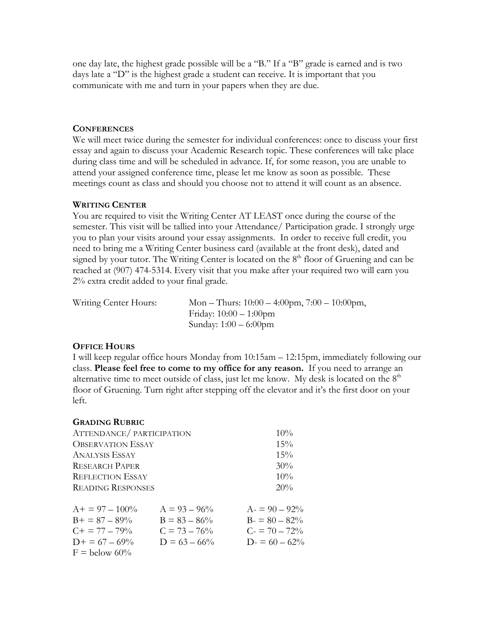one day late, the highest grade possible will be a "B." If a "B" grade is earned and is two days late a "D" is the highest grade a student can receive. It is important that you communicate with me and turn in your papers when they are due.

## **CONFERENCES**

We will meet twice during the semester for individual conferences: once to discuss your first essay and again to discuss your Academic Research topic. These conferences will take place during class time and will be scheduled in advance. If, for some reason, you are unable to attend your assigned conference time, please let me know as soon as possible. These meetings count as class and should you choose not to attend it will count as an absence.

#### **WRITING CENTER**

You are required to visit the Writing Center AT LEAST once during the course of the semester. This visit will be tallied into your Attendance/ Participation grade. I strongly urge you to plan your visits around your essay assignments. In order to receive full credit, you need to bring me a Writing Center business card (available at the front desk), dated and signed by your tutor. The Writing Center is located on the  $8<sup>th</sup>$  floor of Gruening and can be reached at (907) 474-5314. Every visit that you make after your required two will earn you 2% extra credit added to your final grade.

| Writing Center Hours: | Mon – Thurs: $10:00 - 4:00$ pm, $7:00 - 10:00$ pm, |
|-----------------------|----------------------------------------------------|
|                       | Friday: $10:00 - 1:00$ pm                          |
|                       | Sunday: $1:00 - 6:00$ pm                           |

# **OFFICE HOURS**

I will keep regular office hours Monday from 10:15am – 12:15pm, immediately following our class. **Please feel free to come to my office for any reason.** If you need to arrange an alternative time to meet outside of class, just let me know. My desk is located on the  $8<sup>th</sup>$ floor of Gruening. Turn right after stepping off the elevator and it's the first door on your left.

| <b>GRADING RUBRIC</b>    |                 |                 |
|--------------------------|-----------------|-----------------|
| ATTENDANCE/PARTICIPATION | 10%             |                 |
| <b>OBSERVATION ESSAY</b> |                 | 15%             |
| ANALYSIS ESSAY           | 15%             |                 |
| <b>RESEARCH PAPER</b>    | 30%             |                 |
| <b>REFLECTION ESSAY</b>  | 10%             |                 |
| <b>READING RESPONSES</b> |                 | 20%             |
| $A+ = 97 - 100\%$        | $A = 93 - 96\%$ | $A = 90 - 92\%$ |
| $B_{+} = 87 - 89\%$      | $B = 83 - 86\%$ | $B = 80 - 82\%$ |
| $C_{\rm{+}} = 77 - 79\%$ | $C = 73 - 76\%$ | $C = 70 - 72\%$ |
| $D+ = 67 - 69\%$         | $D = 63 - 66\%$ | $D = 60 - 62\%$ |
| $F =$ below 60%          |                 |                 |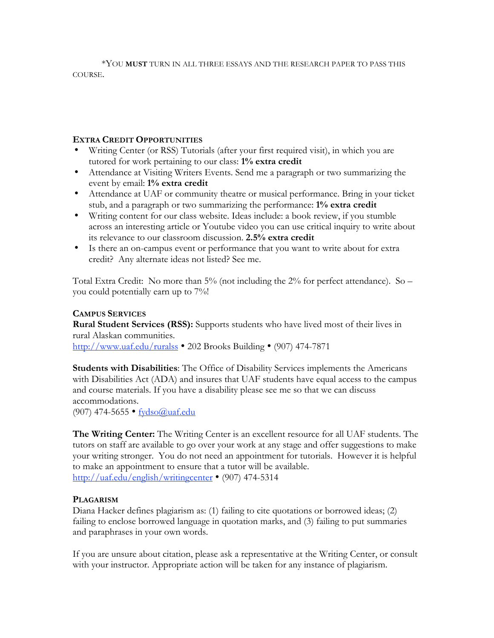\*YOU **MUST** TURN IN ALL THREE ESSAYS AND THE RESEARCH PAPER TO PASS THIS COURSE.

## **EXTRA CREDIT OPPORTUNITIES**

- Writing Center (or RSS) Tutorials (after your first required visit), in which you are tutored for work pertaining to our class: **1% extra credit**
- Attendance at Visiting Writers Events. Send me a paragraph or two summarizing the event by email: **1% extra credit**
- Attendance at UAF or community theatre or musical performance. Bring in your ticket stub, and a paragraph or two summarizing the performance: **1% extra credit**
- Writing content for our class website. Ideas include: a book review, if you stumble across an interesting article or Youtube video you can use critical inquiry to write about its relevance to our classroom discussion. **2.5% extra credit**
- Is there an on-campus event or performance that you want to write about for extra credit? Any alternate ideas not listed? See me.

Total Extra Credit: No more than  $5\%$  (not including the  $2\%$  for perfect attendance). So – you could potentially earn up to 7%!

# **CAMPUS SERVICES**

**Rural Student Services (RSS):** Supports students who have lived most of their lives in rural Alaskan communities. http://www.uaf.edu/ruralss • 202 Brooks Building • (907) 474-7871

**Students with Disabilities**: The Office of Disability Services implements the Americans with Disabilities Act (ADA) and insures that UAF students have equal access to the campus and course materials. If you have a disability please see me so that we can discuss accommodations.

(907) 474-5655 • fydso@uaf.edu

**The Writing Center:** The Writing Center is an excellent resource for all UAF students. The tutors on staff are available to go over your work at any stage and offer suggestions to make your writing stronger. You do not need an appointment for tutorials. However it is helpful to make an appointment to ensure that a tutor will be available. http://uaf.edu/english/writingcenter • (907) 474-5314

# **PLAGARISM**

Diana Hacker defines plagiarism as: (1) failing to cite quotations or borrowed ideas; (2) failing to enclose borrowed language in quotation marks, and (3) failing to put summaries and paraphrases in your own words.

If you are unsure about citation, please ask a representative at the Writing Center, or consult with your instructor. Appropriate action will be taken for any instance of plagiarism.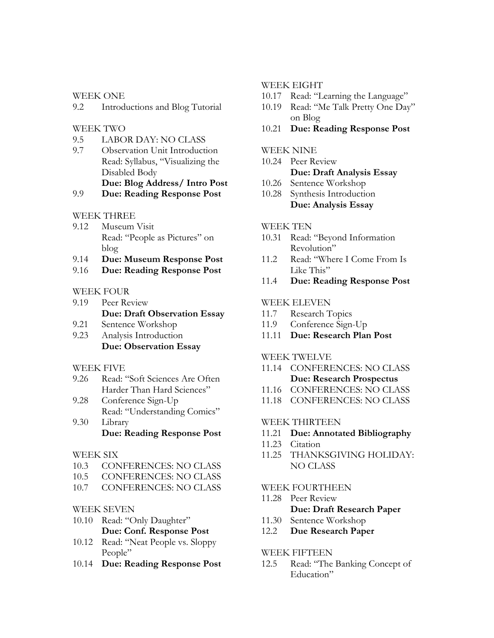WEEK ONE

9.2 Introductions and Blog Tutorial

## WEEK TWO

- 9.5 LABOR DAY: NO CLASS
- 9.7 Observation Unit Introduction Read: Syllabus, "Visualizing the Disabled Body **Due: Blog Address/ Intro Post**

## 9.9 **Due: Reading Response Post**

## WEEK THREE

- 9.12 Museum Visit Read: "People as Pictures" on blog
- 9.14 **Due: Museum Response Post**
- 9.16 **Due: Reading Response Post**

## WEEK FOUR

- 9.19 Peer Review **Due: Draft Observation Essay**
- 9.21 Sentence Workshop
- 9.23 Analysis Introduction **Due: Observation Essay**

#### WEEK FIVE

- 9.26 Read: "Soft Sciences Are Often Harder Than Hard Sciences"
- 9.28 Conference Sign-Up Read: "Understanding Comics" 9.30 Library

# **Due: Reading Response Post**

#### WEEK SIX

- 10.3 CONFERENCES: NO CLASS
- 10.5 CONFERENCES: NO CLASS
- 10.7 CONFERENCES: NO CLASS

#### WEEK SEVEN

- 10.10 Read: "Only Daughter" **Due: Conf. Response Post**
- 10.12 Read: "Neat People vs. Sloppy People"
- 10.14 **Due: Reading Response Post**

#### WEEK EIGHT

- 10.17 Read: "Learning the Language"
- 10.19 Read: "Me Talk Pretty One Day" on Blog
- 10.21 **Due: Reading Response Post**

#### WEEK NINE

10.24 Peer Review

## **Due: Draft Analysis Essay**

- 10.26 Sentence Workshop
- 10.28 Synthesis Introduction **Due: Analysis Essay**

## WEEK TEN

- 10.31 Read: "Beyond Information Revolution"
- 11.2 Read: "Where I Come From Is Like This"
- 11.4 **Due: Reading Response Post**

## WEEK ELEVEN

- 11.7 Research Topics
- 11.9 Conference Sign-Up
- 11.11 **Due: Research Plan Post**

#### WEEK TWELVE

- 11.14 CONFERENCES: NO CLASS **Due: Research Prospectus**
- 11.16 CONFERENCES: NO CLASS
- 11.18 CONFERENCES: NO CLASS

# WEEK THIRTEEN

#### 11.21 **Due: Annotated Bibliography**

- 11.23 Citation
- 11.25 THANKSGIVING HOLIDAY: NO CLASS

#### WEEK FOURTHEEN

- 11.28 Peer Review **Due: Draft Research Paper**
- 11.30 Sentence Workshop
- 12.2 **Due Research Paper**

#### WEEK FIFTEEN

12.5 Read: "The Banking Concept of Education"